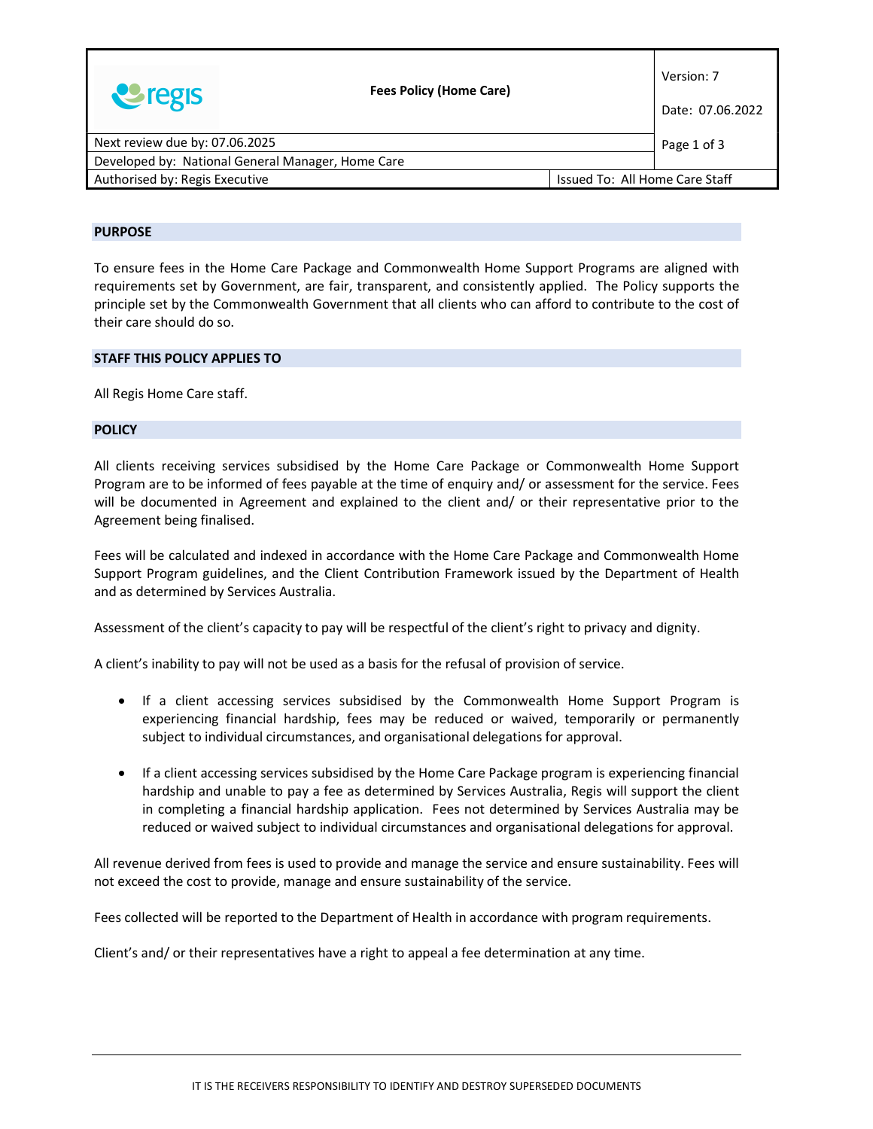|                                                                  | <b>Fees Policy (Home Care)</b> |  | Version: 7       |
|------------------------------------------------------------------|--------------------------------|--|------------------|
| <b>U</b> regis                                                   |                                |  | Date: 07.06.2022 |
| Next review due by: 07.06.2025                                   |                                |  | Page 1 of 3      |
| Developed by: National General Manager, Home Care                |                                |  |                  |
| Authorised by: Regis Executive<br>Issued To: All Home Care Staff |                                |  |                  |

#### PURPOSE

To ensure fees in the Home Care Package and Commonwealth Home Support Programs are aligned with requirements set by Government, are fair, transparent, and consistently applied. The Policy supports the principle set by the Commonwealth Government that all clients who can afford to contribute to the cost of their care should do so.

#### STAFF THIS POLICY APPLIES TO

All Regis Home Care staff.

#### **POLICY**

All clients receiving services subsidised by the Home Care Package or Commonwealth Home Support Program are to be informed of fees payable at the time of enquiry and/ or assessment for the service. Fees will be documented in Agreement and explained to the client and/ or their representative prior to the Agreement being finalised.

Fees will be calculated and indexed in accordance with the Home Care Package and Commonwealth Home Support Program guidelines, and the Client Contribution Framework issued by the Department of Health and as determined by Services Australia.

Assessment of the client's capacity to pay will be respectful of the client's right to privacy and dignity.

A client's inability to pay will not be used as a basis for the refusal of provision of service.

- If a client accessing services subsidised by the Commonwealth Home Support Program is experiencing financial hardship, fees may be reduced or waived, temporarily or permanently subject to individual circumstances, and organisational delegations for approval.
- If a client accessing services subsidised by the Home Care Package program is experiencing financial hardship and unable to pay a fee as determined by Services Australia, Regis will support the client in completing a financial hardship application. Fees not determined by Services Australia may be reduced or waived subject to individual circumstances and organisational delegations for approval.

All revenue derived from fees is used to provide and manage the service and ensure sustainability. Fees will not exceed the cost to provide, manage and ensure sustainability of the service.

Fees collected will be reported to the Department of Health in accordance with program requirements.

Client's and/ or their representatives have a right to appeal a fee determination at any time.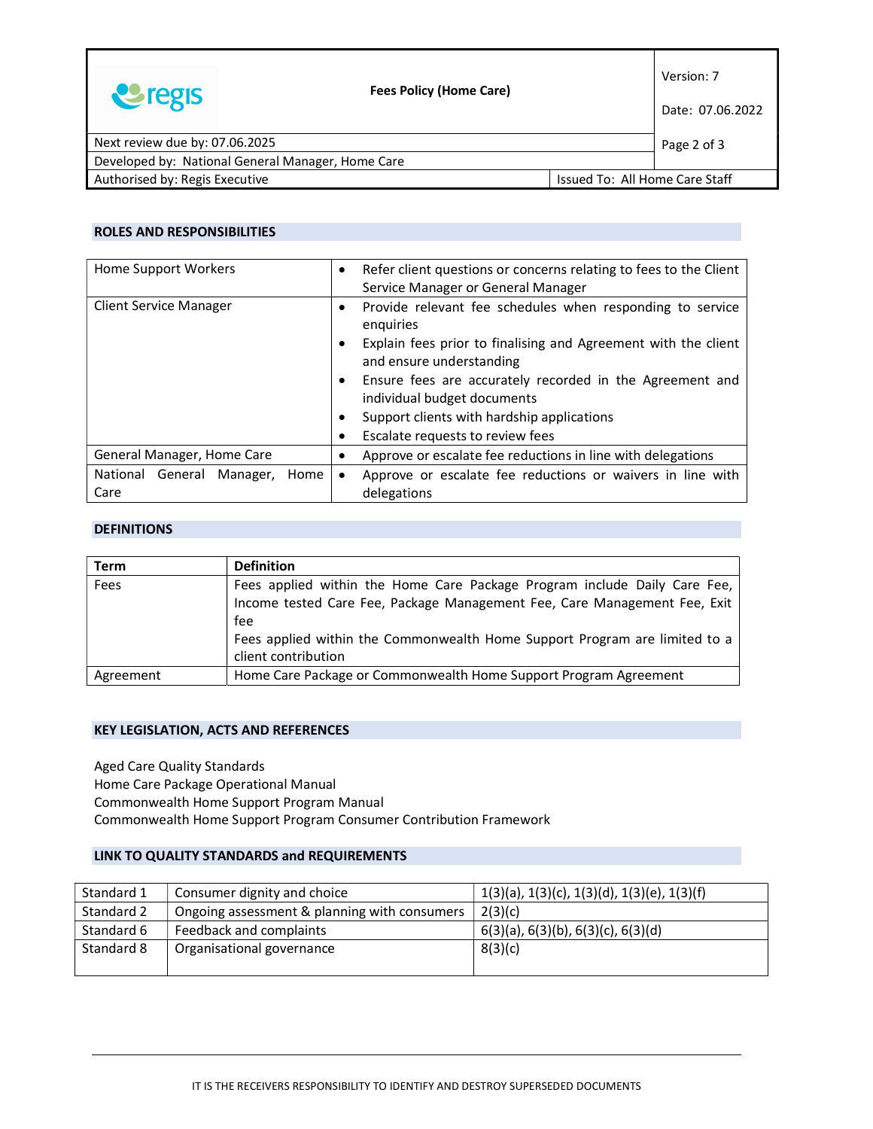|                                                                  | <b>Fees Policy (Home Care)</b> |  | Version: 7  |
|------------------------------------------------------------------|--------------------------------|--|-------------|
| <b>U</b> regis                                                   |                                |  |             |
| Next review due by: 07.06.2025                                   |                                |  | Page 2 of 3 |
| Developed by: National General Manager, Home Care                |                                |  |             |
| Authorised by: Regis Executive<br>Issued To: All Home Care Staff |                                |  |             |

### ROLES AND RESPONSIBILITIES

| Home Support Workers              | Refer client questions or concerns relating to fees to the Client<br>$\bullet$<br>Service Manager or General Manager |
|-----------------------------------|----------------------------------------------------------------------------------------------------------------------|
| <b>Client Service Manager</b>     | Provide relevant fee schedules when responding to service<br>$\bullet$<br>enquiries                                  |
|                                   | Explain fees prior to finalising and Agreement with the client<br>and ensure understanding                           |
|                                   | Ensure fees are accurately recorded in the Agreement and<br>individual budget documents                              |
|                                   | Support clients with hardship applications                                                                           |
|                                   | Escalate requests to review fees                                                                                     |
| General Manager, Home Care        | Approve or escalate fee reductions in line with delegations                                                          |
| National General Manager,<br>Home | Approve or escalate fee reductions or waivers in line with                                                           |
| Care                              | delegations                                                                                                          |

### **DEFINITIONS**

| <b>Term</b> | <b>Definition</b>                                                          |  |  |
|-------------|----------------------------------------------------------------------------|--|--|
| Fees        | Fees applied within the Home Care Package Program include Daily Care Fee,  |  |  |
|             | Income tested Care Fee, Package Management Fee, Care Management Fee, Exit  |  |  |
|             | fee                                                                        |  |  |
|             | Fees applied within the Commonwealth Home Support Program are limited to a |  |  |
|             | client contribution                                                        |  |  |
| Agreement   | Home Care Package or Commonwealth Home Support Program Agreement           |  |  |

### KEY LEGISLATION, ACTS AND REFERENCES

Aged Care Quality Standards Home Care Package Operational Manual Commonwealth Home Support Program Manual Commonwealth Home Support Program Consumer Contribution Framework

## LINK TO QUALITY STANDARDS and REQUIREMENTS

| Standard 1 | Consumer dignity and choice                  | $1(3)(a)$ , $1(3)(c)$ , $1(3)(d)$ , $1(3)(e)$ , $1(3)(f)$ |
|------------|----------------------------------------------|-----------------------------------------------------------|
| Standard 2 | Ongoing assessment & planning with consumers | 2(3)(c)                                                   |
| Standard 6 | Feedback and complaints                      | $6(3)(a)$ , $6(3)(b)$ , $6(3)(c)$ , $6(3)(d)$             |
| Standard 8 | Organisational governance                    | 8(3)(c)                                                   |
|            |                                              |                                                           |